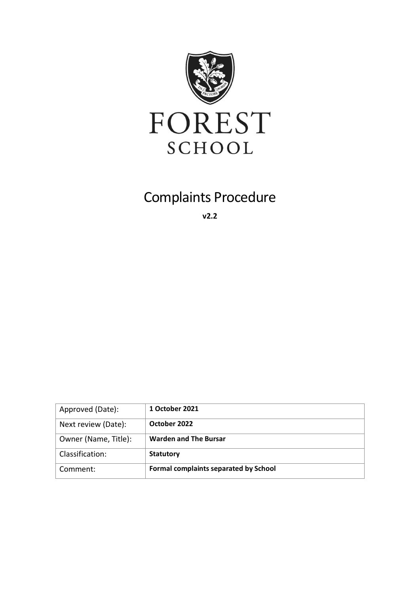

# Complaints Procedure

**v2.2**

| Approved (Date):     | 1 October 2021                               |
|----------------------|----------------------------------------------|
| Next review (Date):  | October 2022                                 |
| Owner (Name, Title): | <b>Warden and The Bursar</b>                 |
| Classification:      | <b>Statutory</b>                             |
| Comment:             | <b>Formal complaints separated by School</b> |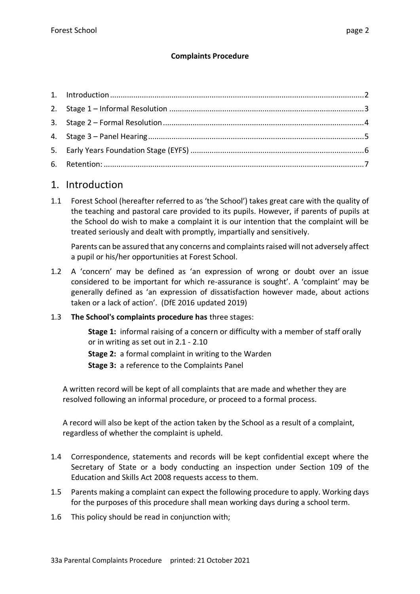#### **Complaints Procedure**

## 1. Introduction

1.1 Forest School (hereafter referred to as 'the School') takes great care with the quality of the teaching and pastoral care provided to its pupils. However, if parents of pupils at the School do wish to make a complaint it is our intention that the complaint will be treated seriously and dealt with promptly, impartially and sensitively.

Parents can be assured that any concerns and complaints raised will not adversely affect a pupil or his/her opportunities at Forest School.

1.2 A 'concern' may be defined as 'an expression of wrong or doubt over an issue considered to be important for which re-assurance is sought'. A 'complaint' may be generally defined as 'an expression of dissatisfaction however made, about actions taken or a lack of action'. (DfE 2016 updated 2019)

#### 1.3 **The School's complaints procedure has** three stages:

**Stage 1:** informal raising of a concern or difficulty with a member of staff orally or in writing as set out in 2.1 - 2.10

**Stage 2:** a formal complaint in writing to the Warden

**Stage 3:** a reference to the Complaints Panel

A written record will be kept of all complaints that are made and whether they are resolved following an informal procedure, or proceed to a formal process.

A record will also be kept of the action taken by the School as a result of a complaint, regardless of whether the complaint is upheld.

- 1.4 Correspondence, statements and records will be kept confidential except where the Secretary of State or a body conducting an inspection under Section 109 of the Education and Skills Act 2008 requests access to them.
- 1.5 Parents making a complaint can expect the following procedure to apply. Working days for the purposes of this procedure shall mean working days during a school term.
- 1.6 This policy should be read in conjunction with;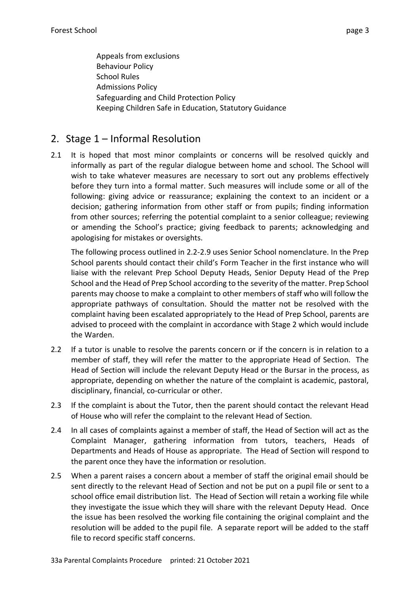Appeals from exclusions Behaviour Policy School Rules Admissions Policy Safeguarding and Child Protection Policy Keeping Children Safe in Education, Statutory Guidance

### 2. Stage 1 – Informal Resolution

2.1 It is hoped that most minor complaints or concerns will be resolved quickly and informally as part of the regular dialogue between home and school. The School will wish to take whatever measures are necessary to sort out any problems effectively before they turn into a formal matter. Such measures will include some or all of the following: giving advice or reassurance; explaining the context to an incident or a decision; gathering information from other staff or from pupils; finding information from other sources; referring the potential complaint to a senior colleague; reviewing or amending the School's practice; giving feedback to parents; acknowledging and apologising for mistakes or oversights.

The following process outlined in 2.2-2.9 uses Senior School nomenclature. In the Prep School parents should contact their child's Form Teacher in the first instance who will liaise with the relevant Prep School Deputy Heads, Senior Deputy Head of the Prep School and the Head of Prep School according to the severity of the matter. Prep School parents may choose to make a complaint to other members of staff who will follow the appropriate pathways of consultation. Should the matter not be resolved with the complaint having been escalated appropriately to the Head of Prep School, parents are advised to proceed with the complaint in accordance with Stage 2 which would include the Warden.

- 2.2 If a tutor is unable to resolve the parents concern or if the concern is in relation to a member of staff, they will refer the matter to the appropriate Head of Section. The Head of Section will include the relevant Deputy Head or the Bursar in the process, as appropriate, depending on whether the nature of the complaint is academic, pastoral, disciplinary, financial, co-curricular or other.
- 2.3 If the complaint is about the Tutor, then the parent should contact the relevant Head of House who will refer the complaint to the relevant Head of Section.
- 2.4 In all cases of complaints against a member of staff, the Head of Section will act as the Complaint Manager, gathering information from tutors, teachers, Heads of Departments and Heads of House as appropriate. The Head of Section will respond to the parent once they have the information or resolution.
- 2.5 When a parent raises a concern about a member of staff the original email should be sent directly to the relevant Head of Section and not be put on a pupil file or sent to a school office email distribution list. The Head of Section will retain a working file while they investigate the issue which they will share with the relevant Deputy Head. Once the issue has been resolved the working file containing the original complaint and the resolution will be added to the pupil file. A separate report will be added to the staff file to record specific staff concerns.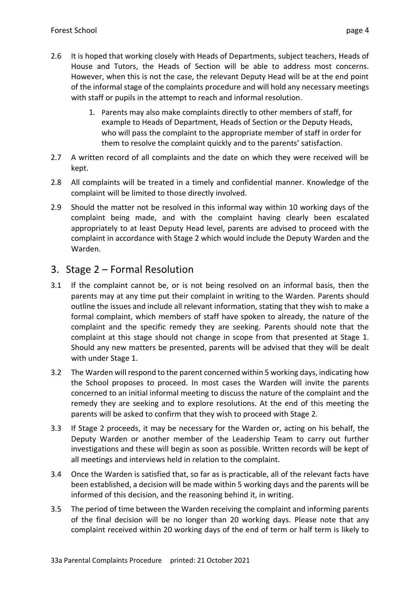- 2.6 It is hoped that working closely with Heads of Departments, subject teachers, Heads of House and Tutors, the Heads of Section will be able to address most concerns. However, when this is not the case, the relevant Deputy Head will be at the end point of the informal stage of the complaints procedure and will hold any necessary meetings with staff or pupils in the attempt to reach and informal resolution.
	- 1. Parents may also make complaints directly to other members of staff, for example to Heads of Department, Heads of Section or the Deputy Heads, who will pass the complaint to the appropriate member of staff in order for them to resolve the complaint quickly and to the parents' satisfaction.
- 2.7 A written record of all complaints and the date on which they were received will be kept.
- 2.8 All complaints will be treated in a timely and confidential manner. Knowledge of the complaint will be limited to those directly involved.
- 2.9 Should the matter not be resolved in this informal way within 10 working days of the complaint being made, and with the complaint having clearly been escalated appropriately to at least Deputy Head level, parents are advised to proceed with the complaint in accordance with Stage 2 which would include the Deputy Warden and the Warden.

# 3. Stage 2 – Formal Resolution

- 3.1 If the complaint cannot be, or is not being resolved on an informal basis, then the parents may at any time put their complaint in writing to the Warden. Parents should outline the issues and include all relevant information, stating that they wish to make a formal complaint, which members of staff have spoken to already, the nature of the complaint and the specific remedy they are seeking. Parents should note that the complaint at this stage should not change in scope from that presented at Stage 1. Should any new matters be presented, parents will be advised that they will be dealt with under Stage 1.
- 3.2 The Warden will respond to the parent concerned within 5 working days, indicating how the School proposes to proceed. In most cases the Warden will invite the parents concerned to an initial informal meeting to discuss the nature of the complaint and the remedy they are seeking and to explore resolutions. At the end of this meeting the parents will be asked to confirm that they wish to proceed with Stage 2.
- 3.3 If Stage 2 proceeds, it may be necessary for the Warden or, acting on his behalf, the Deputy Warden or another member of the Leadership Team to carry out further investigations and these will begin as soon as possible. Written records will be kept of all meetings and interviews held in relation to the complaint.
- 3.4 Once the Warden is satisfied that, so far as is practicable, all of the relevant facts have been established, a decision will be made within 5 working days and the parents will be informed of this decision, and the reasoning behind it, in writing.
- 3.5 The period of time between the Warden receiving the complaint and informing parents of the final decision will be no longer than 20 working days. Please note that any complaint received within 20 working days of the end of term or half term is likely to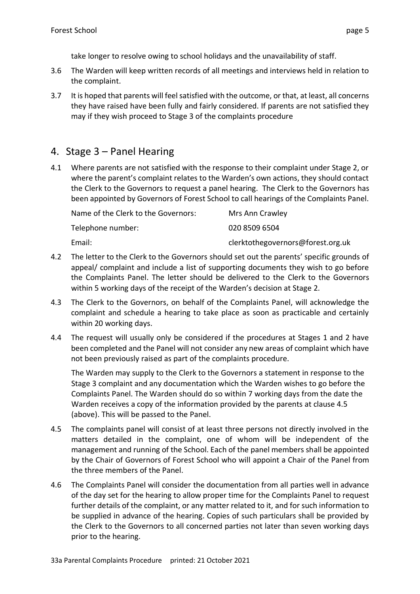take longer to resolve owing to school holidays and the unavailability of staff.

- 3.6 The Warden will keep written records of all meetings and interviews held in relation to the complaint.
- 3.7 It is hoped that parents will feel satisfied with the outcome, or that, at least, all concerns they have raised have been fully and fairly considered. If parents are not satisfied they may if they wish proceed to Stage 3 of the complaints procedure

## 4. Stage 3 – Panel Hearing

4.1 Where parents are not satisfied with the response to their complaint under Stage 2, or where the parent's complaint relates to the Warden's own actions, they should contact the Clerk to the Governors to request a panel hearing. The Clerk to the Governors has been appointed by Governors of Forest School to call hearings of the Complaints Panel.

| Name of the Clerk to the Governors: | Mrs Ann Crawley                   |
|-------------------------------------|-----------------------------------|
| Telephone number:                   | 020 8509 6504                     |
| Email:                              | clerktothegovernors@forest.org.uk |

- 4.2 The letter to the Clerk to the Governors should set out the parents' specific grounds of appeal/ complaint and include a list of supporting documents they wish to go before the Complaints Panel. The letter should be delivered to the Clerk to the Governors within 5 working days of the receipt of the Warden's decision at Stage 2.
- 4.3 The Clerk to the Governors, on behalf of the Complaints Panel, will acknowledge the complaint and schedule a hearing to take place as soon as practicable and certainly within 20 working days.
- 4.4 The request will usually only be considered if the procedures at Stages 1 and 2 have been completed and the Panel will not consider any new areas of complaint which have not been previously raised as part of the complaints procedure.

The Warden may supply to the Clerk to the Governors a statement in response to the Stage 3 complaint and any documentation which the Warden wishes to go before the Complaints Panel. The Warden should do so within 7 working days from the date the Warden receives a copy of the information provided by the parents at clause 4.5 (above). This will be passed to the Panel.

- 4.5 The complaints panel will consist of at least three persons not directly involved in the matters detailed in the complaint, one of whom will be independent of the management and running of the School. Each of the panel members shall be appointed by the Chair of Governors of Forest School who will appoint a Chair of the Panel from the three members of the Panel.
- 4.6 The Complaints Panel will consider the documentation from all parties well in advance of the day set for the hearing to allow proper time for the Complaints Panel to request further details of the complaint, or any matter related to it, and for such information to be supplied in advance of the hearing. Copies of such particulars shall be provided by the Clerk to the Governors to all concerned parties not later than seven working days prior to the hearing.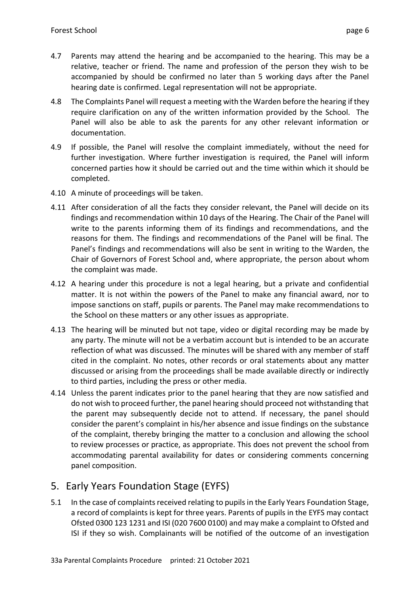- 4.7 Parents may attend the hearing and be accompanied to the hearing. This may be a relative, teacher or friend. The name and profession of the person they wish to be accompanied by should be confirmed no later than 5 working days after the Panel hearing date is confirmed. Legal representation will not be appropriate.
- 4.8 The Complaints Panel will request a meeting with the Warden before the hearing if they require clarification on any of the written information provided by the School. The Panel will also be able to ask the parents for any other relevant information or documentation.
- 4.9 If possible, the Panel will resolve the complaint immediately, without the need for further investigation. Where further investigation is required, the Panel will inform concerned parties how it should be carried out and the time within which it should be completed.
- 4.10 A minute of proceedings will be taken.
- 4.11 After consideration of all the facts they consider relevant, the Panel will decide on its findings and recommendation within 10 days of the Hearing. The Chair of the Panel will write to the parents informing them of its findings and recommendations, and the reasons for them. The findings and recommendations of the Panel will be final. The Panel's findings and recommendations will also be sent in writing to the Warden, the Chair of Governors of Forest School and, where appropriate, the person about whom the complaint was made.
- 4.12 A hearing under this procedure is not a legal hearing, but a private and confidential matter. It is not within the powers of the Panel to make any financial award, nor to impose sanctions on staff, pupils or parents. The Panel may make recommendations to the School on these matters or any other issues as appropriate.
- 4.13 The hearing will be minuted but not tape, video or digital recording may be made by any party. The minute will not be a verbatim account but is intended to be an accurate reflection of what was discussed. The minutes will be shared with any member of staff cited in the complaint. No notes, other records or oral statements about any matter discussed or arising from the proceedings shall be made available directly or indirectly to third parties, including the press or other media.
- 4.14 Unless the parent indicates prior to the panel hearing that they are now satisfied and do not wish to proceed further, the panel hearing should proceed not withstanding that the parent may subsequently decide not to attend. If necessary, the panel should consider the parent's complaint in his/her absence and issue findings on the substance of the complaint, thereby bringing the matter to a conclusion and allowing the school to review processes or practice, as appropriate. This does not prevent the school from accommodating parental availability for dates or considering comments concerning panel composition.

# 5. Early Years Foundation Stage (EYFS)

5.1 In the case of complaints received relating to pupils in the Early Years Foundation Stage, a record of complaints is kept for three years. Parents of pupils in the EYFS may contact Ofsted 0300 123 1231 and ISI (020 7600 0100) and may make a complaint to Ofsted and ISI if they so wish. Complainants will be notified of the outcome of an investigation